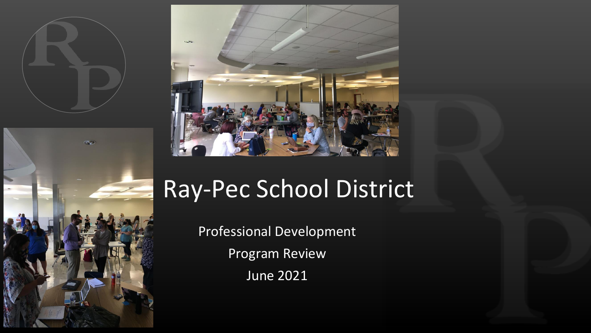





# Ray-Pec School District

Professional Development Program Review June 2021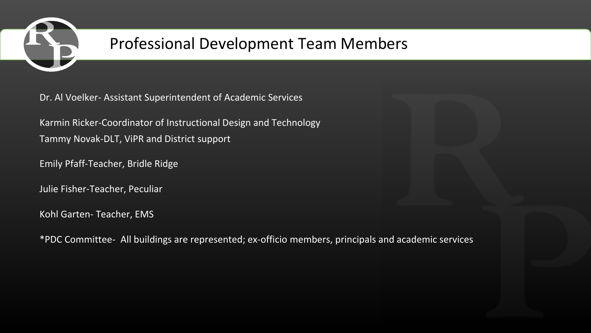

# Professional Development Team Members

Dr. Al Voelker- Assistant Superintendent of Academic Services

Karmin Ricker-Coordinator of Instructional Design and Technology Tammy Novak-DLT, ViPR and District support

Emily Pfaff-Teacher, Bridle Ridge

Julie Fisher-Teacher, Peculiar

Kohl Garten- Teacher, EMS

\*PDC Committee- All buildings are represented; ex-officio members, principals and academic services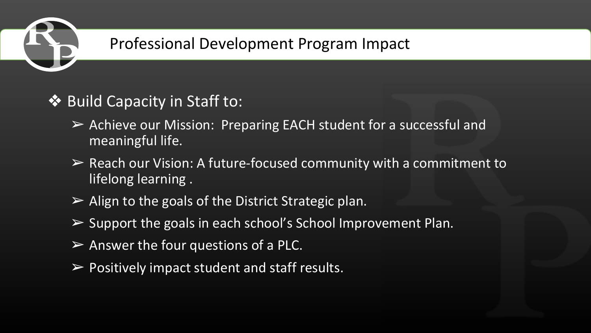

# Professional Development Program Impact

## ❖ Build Capacity in Staff to:

- ➢ Achieve our Mission: Preparing EACH student for a successful and meaningful life.
- $\triangleright$  Reach our Vision: A future-focused community with a commitment to lifelong learning .
- $\triangleright$  Align to the goals of the District Strategic plan.
- $\triangleright$  Support the goals in each school's School Improvement Plan.
- $\triangleright$  Answer the four questions of a PLC.
- $\triangleright$  Positively impact student and staff results.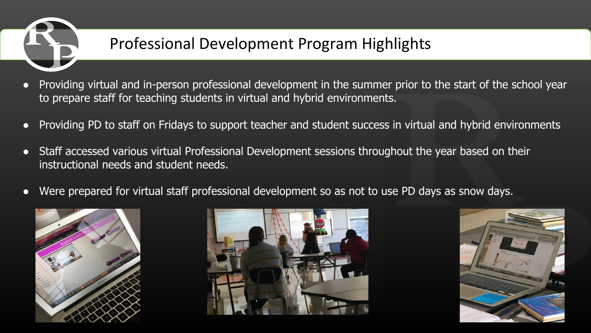

# Professional Development Program Highlights

- Providing virtual and in-person professional development in the summer prior to the start of the school year to prepare staff for teaching students in virtual and hybrid environments.
- Providing PD to staff on Fridays to support teacher and student success in virtual and hybrid environments
- Staff accessed various virtual Professional Development sessions throughout the year based on their instructional needs and student needs.
- Were prepared for virtual staff professional development so as not to use PD days as snow days.





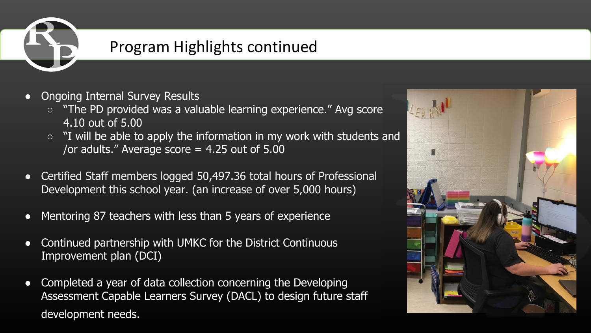

#### Program Highlights continued

- **Ongoing Internal Survey Results** 
	- "The PD provided was a valuable learning experience." Avg score 4.10 out of 5.00
	- "I will be able to apply the information in my work with students and /or adults." Average score  $= 4.25$  out of  $5.00$
- Certified Staff members logged 50,497.36 total hours of Professional Development this school year. (an increase of over 5,000 hours)
- Mentoring 87 teachers with less than 5 years of experience
- Continued partnership with UMKC for the District Continuous Improvement plan (DCI)
- Completed a year of data collection concerning the Developing Assessment Capable Learners Survey (DACL) to design future staff development needs.

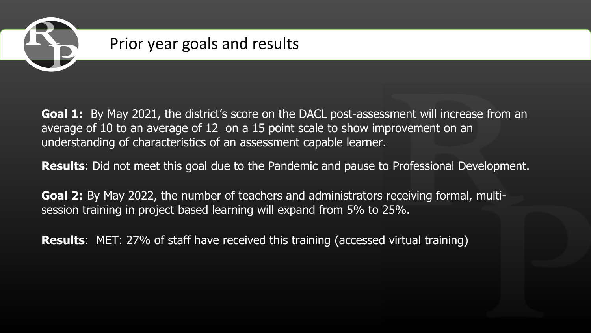

#### Prior year goals and results

**Goal 1:** By May 2021, the district's score on the DACL post-assessment will increase from an average of 10 to an average of 12 on a 15 point scale to show improvement on an understanding of characteristics of an assessment capable learner.

**Results**: Did not meet this goal due to the Pandemic and pause to Professional Development.

**Goal 2:** By May 2022, the number of teachers and administrators receiving formal, multisession training in project based learning will expand from 5% to 25%.

**Results**: MET: 27% of staff have received this training (accessed virtual training)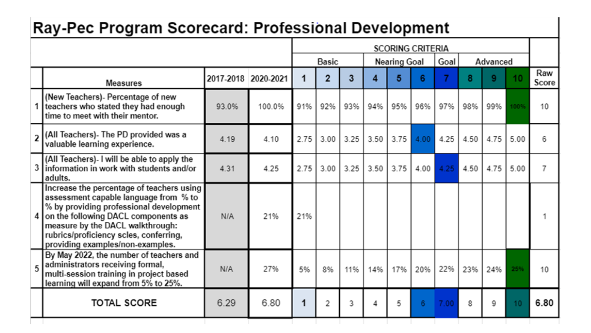#### Ray-Pec Program Scorecard: Professional Development

|   |                                                                                                                                                                                                                                                                                        |                     |        | <b>SCORING CRITERIA</b> |                |      |                     |      |      |      |          |      |                 |              |
|---|----------------------------------------------------------------------------------------------------------------------------------------------------------------------------------------------------------------------------------------------------------------------------------------|---------------------|--------|-------------------------|----------------|------|---------------------|------|------|------|----------|------|-----------------|--------------|
|   |                                                                                                                                                                                                                                                                                        |                     |        | <b>Basic</b>            |                |      | <b>Nearing Goal</b> |      |      | Goal | Advanced |      |                 |              |
|   | <b>Measures</b>                                                                                                                                                                                                                                                                        | 2017-2018 2020-2021 |        | 1                       | $\overline{2}$ | 3    |                     | 5    | 6    |      | 8        | 9    | 10              | Raw<br>Score |
|   | (New Teachers)- Percentage of new<br>teachers who stated they had enough<br>time to meet with their mentor.                                                                                                                                                                            | 93.0%               | 100.0% | 91%                     | 92%            | 93%  | 94%                 | 95%  | 96%  | 97%  | 98%      | 99%  | 1009            | 10           |
|   | All Teachers)- The PD provided was a (All Teachers)<br>valuable learning experience.                                                                                                                                                                                                   | 4.19                | 4.10   | 2.75                    | 3.00           | 3.25 | 3.50                | 3.75 | 4.00 | 4.25 | 4.50     | 4.75 | 5.00            | 6            |
|   | (All Teachers)- I will be able to apply the<br>information in work with students and/or<br>adults.                                                                                                                                                                                     | 4.31                | 4.25   | 2.75                    | 3.00           | 3.25 | 3.50                | 3.75 | 4.00 | 4.25 | 4.50     | 4.75 | 5.00            | 7            |
| 4 | Increase the percentage of teachers using<br>assessment capable language from % to<br>% by providing professional development<br>on the following DACL components as<br>measure by the DACL walkthrough:<br>rubrics/proficiency scles, conferring,<br>providing examples/non-examples. | N/A                 | 21%    | 21%                     |                |      |                     |      |      |      |          |      |                 |              |
|   | By May 2022, the number of teachers and<br>5 administrators receiving formal,<br>multi-session training in project based<br>learning will expand from 5% to 25%.                                                                                                                       | N/A                 | 27%    | 5%                      | 8%             | 11%  | 14%                 | 17%  | 20%  | 22%  | 23%      | 24%  | 25%             | 10           |
|   | <b>TOTAL SCORE</b>                                                                                                                                                                                                                                                                     | 6.29                | 6.80   | 1                       | 2              | 3    | 4                   | 5    | 6    | 7.00 | 8        | 9    | 10 <sub>1</sub> | 6.80         |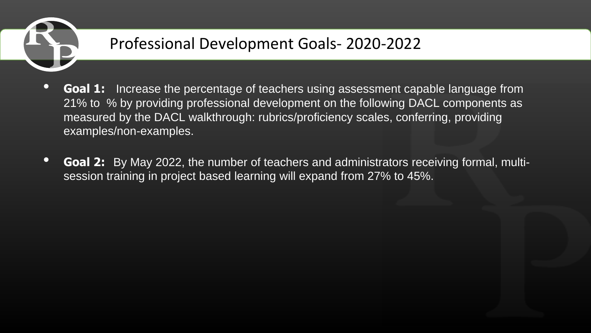

# Professional Development Goals- 2020-2022

- **Goal 1:** Increase the percentage of teachers using assessment capable language from 21% to % by providing professional development on the following DACL components as measured by the DACL walkthrough: rubrics/proficiency scales, conferring, providing examples/non-examples.
- **Goal 2:** By May 2022, the number of teachers and administrators receiving formal, multisession training in project based learning will expand from 27% to 45%.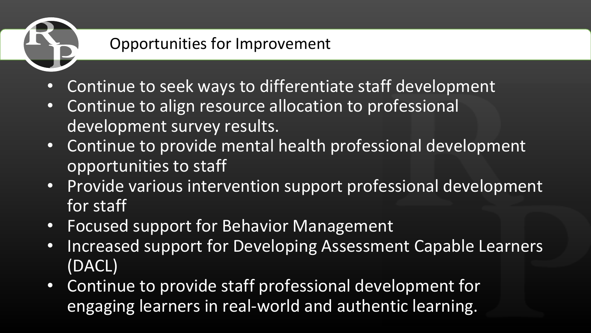# Opportunities for Improvement

- Continue to seek ways to differentiate staff development
- Continue to align resource allocation to professional development survey results.
- Continue to provide mental health professional development opportunities to staff
- Provide various intervention support professional development for staff
- Focused support for Behavior Management
- Increased support for Developing Assessment Capable Learners (DACL)
- Continue to provide staff professional development for engaging learners in real-world and authentic learning.